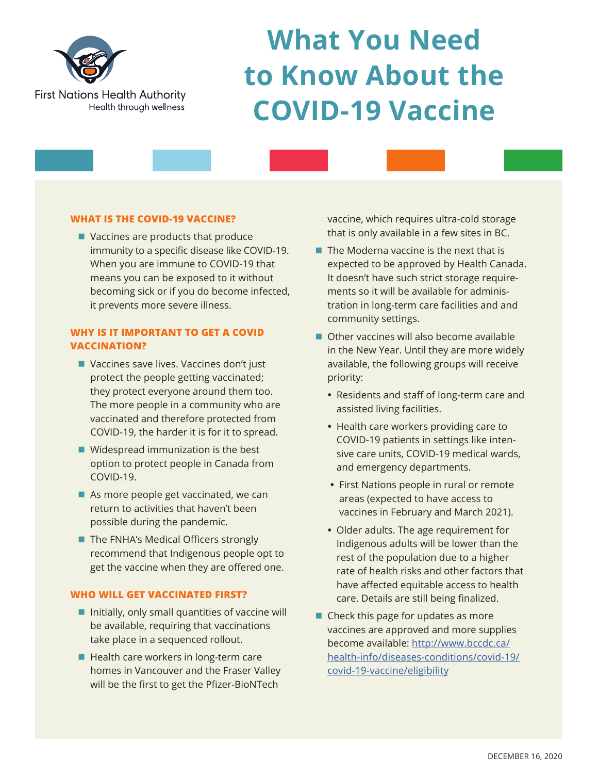

# **What You Need to Know About the COVID-19 Vaccine**

# **WHAT IS THE COVID-19 VACCINE?**

 $\blacksquare$  Vaccines are products that produce immunity to a specific disease like COVID-19. When you are immune to COVID-19 that means you can be exposed to it without becoming sick or if you do become infected, it prevents more severe illness.

# **WHY IS IT IMPORTANT TO GET A COVID VACCINATION?**

- Vaccines save lives. Vaccines don't just protect the people getting vaccinated; they protect everyone around them too. The more people in a community who are vaccinated and therefore protected from COVID-19, the harder it is for it to spread.
- $\blacksquare$  Widespread immunization is the best option to protect people in Canada from COVID-19.
- $\blacksquare$  As more people get vaccinated, we can return to activities that haven't been possible during the pandemic.
- The FNHA's Medical Officers strongly recommend that Indigenous people opt to get the vaccine when they are offered one.

## **WHO WILL GET VACCINATED FIRST?**

- $\blacksquare$  Initially, only small quantities of vaccine will be available, requiring that vaccinations take place in a sequenced rollout.
- $\blacksquare$  Health care workers in long-term care homes in Vancouver and the Fraser Valley will be the first to get the Pfizer-BioNTech

vaccine, which requires ultra-cold storage that is only available in a few sites in BC.

- $\blacksquare$  The Moderna vaccine is the next that is expected to be approved by Health Canada. It doesn't have such strict storage requirements so it will be available for administration in long-term care facilities and and community settings.
- $\blacksquare$  Other vaccines will also become available in the New Year. Until they are more widely available, the following groups will receive priority:
	- **•** Residents and staff of long-term care and assisted living facilities.
	- **•** Health care workers providing care to COVID-19 patients in settings like intensive care units, COVID-19 medical wards, and emergency departments.
	- **•** First Nations people in rural or remote areas (expected to have access to vaccines in February and March 2021).
	- **•** Older adults. The age requirement for Indigenous adults will be lower than the rest of the population due to a higher rate of health risks and other factors that have affected equitable access to health care. Details are still being finalized.
- $\blacksquare$  Check this page for updates as more vaccines are approved and more supplies become available: [http://www.bccdc.ca/](http://www.bccdc.ca/health-info/diseases-conditions/covid-19/covid-19-vaccine/eligibility) [health-info/diseases-conditions/covid-19/](http://www.bccdc.ca/health-info/diseases-conditions/covid-19/covid-19-vaccine/eligibility) [covid-19-vaccine/eligibility](http://www.bccdc.ca/health-info/diseases-conditions/covid-19/covid-19-vaccine/eligibility)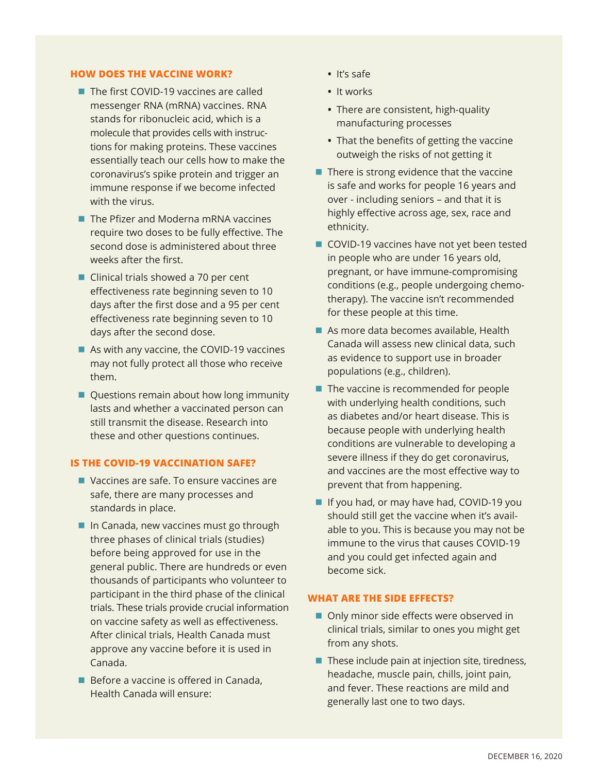#### **HOW DOES THE VACCINE WORK?**

- The first COVID-19 vaccines are called messenger RNA (mRNA) vaccines. RNA stands for ribonucleic acid, which is a molecule that provides cells with instructions for making proteins. These vaccines essentially teach our cells how to make the coronavirus's spike protein and trigger an immune response if we become infected with the virus.
- $\blacksquare$  The Pfizer and Moderna mRNA vaccines require two doses to be fully effective. The second dose is administered about three weeks after the first.
- $\blacksquare$  Clinical trials showed a 70 per cent effectiveness rate beginning seven to 10 days after the first dose and a 95 per cent effectiveness rate beginning seven to 10 days after the second dose.
- $\blacksquare$  As with any vaccine, the COVID-19 vaccines may not fully protect all those who receive them.
- Questions remain about how long immunity lasts and whether a vaccinated person can still transmit the disease. Research into these and other questions continues.

# **IS THE COVID-19 VACCINATION SAFE?**

- $\blacksquare$  Vaccines are safe. To ensure vaccines are safe, there are many processes and standards in place.
- $\blacksquare$  In Canada, new vaccines must go through three phases of clinical trials (studies) before being approved for use in the general public. There are hundreds or even thousands of participants who volunteer to participant in the third phase of the clinical trials. These trials provide crucial information on vaccine safety as well as effectiveness. After clinical trials, Health Canada must approve any vaccine before it is used in Canada.
- $\blacksquare$  Before a vaccine is offered in Canada, Health Canada will ensure:
- **•** It's safe
- **•** It works
- **•** There are consistent, high-quality manufacturing processes
- **•** That the benefits of getting the vaccine outweigh the risks of not getting it
- $\blacksquare$  There is strong evidence that the vaccine is safe and works for people 16 years and over - including seniors – and that it is highly effective across age, sex, race and ethnicity.
- COVID-19 vaccines have not yet been tested in people who are under 16 years old, pregnant, or have immune-compromising conditions (e.g., people undergoing chemotherapy). The vaccine isn't recommended for these people at this time.
- $\blacksquare$  As more data becomes available, Health Canada will assess new clinical data, such as evidence to support use in broader populations (e.g., children).
- $\blacksquare$  The vaccine is recommended for people with underlying health conditions, such as diabetes and/or heart disease. This is because people with underlying health conditions are vulnerable to developing a severe illness if they do get coronavirus, and vaccines are the most effective way to prevent that from happening.
- **n** If you had, or may have had, COVID-19 you should still get the vaccine when it's available to you. This is because you may not be immune to the virus that causes COVID-19 and you could get infected again and become sick.

### **WHAT ARE THE SIDE EFFECTS?**

- Only minor side effects were observed in clinical trials, similar to ones you might get from any shots.
- $\blacksquare$  These include pain at injection site, tiredness, headache, muscle pain, chills, joint pain, and fever. These reactions are mild and generally last one to two days.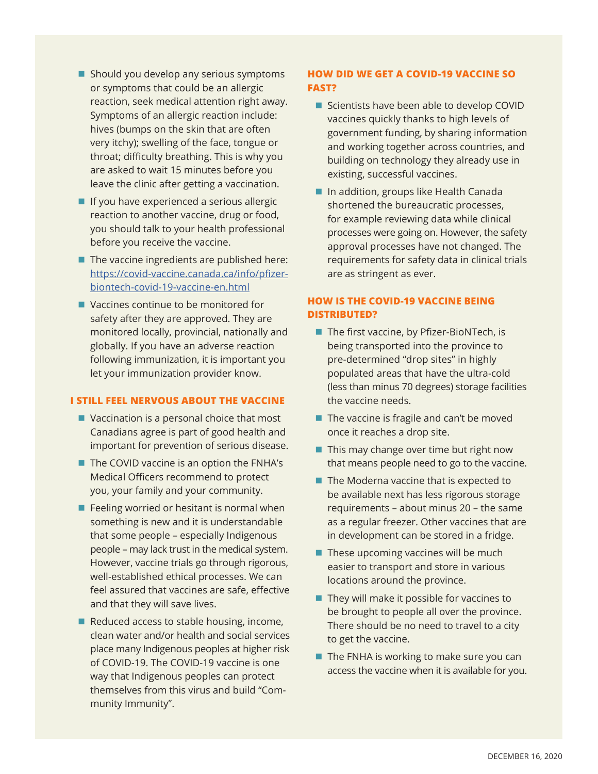- $\blacksquare$  Should you develop any serious symptoms or symptoms that could be an allergic reaction, seek medical attention right away. Symptoms of an allergic reaction include: hives (bumps on the skin that are often very itchy); swelling of the face, tongue or throat; difficulty breathing. This is why you are asked to wait 15 minutes before you leave the clinic after getting a vaccination.
- $\blacksquare$  If you have experienced a serious allergic reaction to another vaccine, drug or food, you should talk to your health professional before you receive the vaccine.
- $\blacksquare$  The vaccine ingredients are published here: [https://covid-vaccine.canada.ca/info/pfizer](https://covid-vaccine.canada.ca/info/pfizer-biontech-covid-19-vaccine-en.html)[biontech-covid-19-vaccine-en.html](https://covid-vaccine.canada.ca/info/pfizer-biontech-covid-19-vaccine-en.html)
- $\blacksquare$  Vaccines continue to be monitored for safety after they are approved. They are monitored locally, provincial, nationally and globally. If you have an adverse reaction following immunization, it is important you let your immunization provider know.

#### **I STILL FEEL NERVOUS ABOUT THE VACCINE**

- $\blacksquare$  Vaccination is a personal choice that most Canadians agree is part of good health and important for prevention of serious disease.
- $\blacksquare$  The COVID vaccine is an option the FNHA's Medical Officers recommend to protect you, your family and your community.
- $\blacksquare$  Feeling worried or hesitant is normal when something is new and it is understandable that some people – especially Indigenous people – may lack trust in the medical system. However, vaccine trials go through rigorous, well-established ethical processes. We can feel assured that vaccines are safe, effective and that they will save lives.
- Reduced access to stable housing, income, clean water and/or health and social services place many Indigenous peoples at higher risk of COVID-19. The COVID-19 vaccine is one way that Indigenous peoples can protect themselves from this virus and build "Community Immunity".

# **HOW DID WE GET A COVID-19 VACCINE SO FAST?**

- Scientists have been able to develop COVID vaccines quickly thanks to high levels of government funding, by sharing information and working together across countries, and building on technology they already use in existing, successful vaccines.
- In addition, groups like Health Canada shortened the bureaucratic processes, for example reviewing data while clinical processes were going on. However, the safety approval processes have not changed. The requirements for safety data in clinical trials are as stringent as ever.

# **HOW IS THE COVID-19 VACCINE BEING DISTRIBUTED?**

- $\blacksquare$  The first vaccine, by Pfizer-BioNTech, is being transported into the province to pre-determined "drop sites" in highly populated areas that have the ultra-cold (less than minus 70 degrees) storage facilities the vaccine needs.
- $\blacksquare$  The vaccine is fragile and can't be moved once it reaches a drop site.
- $\blacksquare$  This may change over time but right now that means people need to go to the vaccine.
- $\blacksquare$  The Moderna vaccine that is expected to be available next has less rigorous storage requirements – about minus 20 – the same as a regular freezer. Other vaccines that are in development can be stored in a fridge.
- $\blacksquare$  These upcoming vaccines will be much easier to transport and store in various locations around the province.
- $\blacksquare$  They will make it possible for vaccines to be brought to people all over the province. There should be no need to travel to a city to get the vaccine.
- $\blacksquare$  The FNHA is working to make sure you can access the vaccine when it is available for you.